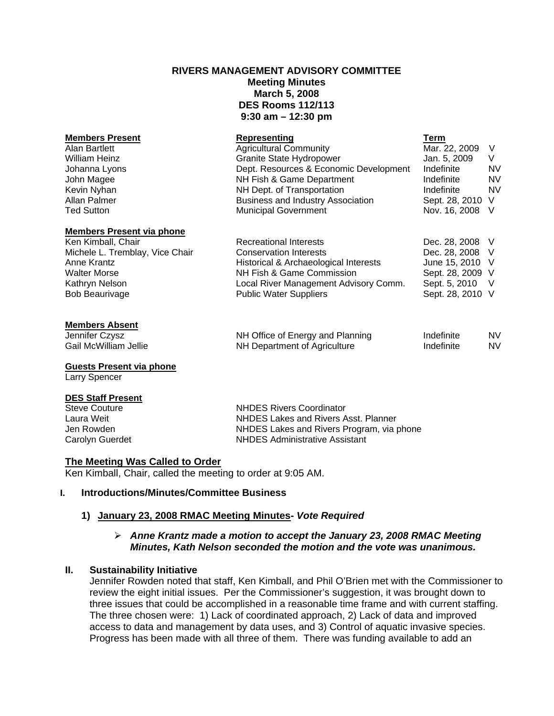# **RIVERS MANAGEMENT ADVISORY COMMITTEE Meeting Minutes March 5, 2008 DES Rooms 112/113 9:30 am – 12:30 pm**

| <b>Members Present</b><br>Alan Bartlett<br><b>William Heinz</b><br>Johanna Lyons<br>John Magee<br>Kevin Nyhan<br>Allan Palmer | Representing<br><b>Agricultural Community</b><br>Granite State Hydropower<br>Dept. Resources & Economic Development<br>NH Fish & Game Department<br>NH Dept. of Transportation<br><b>Business and Industry Association</b> | Term<br>Mar. 22, 2009<br>Jan. 5, 2009<br>Indefinite<br>Indefinite<br>Indefinite<br>Sept. 28, 2010 V | - V<br>V<br><b>NV</b><br><b>NV</b><br><b>NV</b> |
|-------------------------------------------------------------------------------------------------------------------------------|----------------------------------------------------------------------------------------------------------------------------------------------------------------------------------------------------------------------------|-----------------------------------------------------------------------------------------------------|-------------------------------------------------|
| <b>Ted Sutton</b>                                                                                                             | <b>Municipal Government</b>                                                                                                                                                                                                | Nov. 16, 2008 V                                                                                     |                                                 |
| <b>Members Present via phone</b>                                                                                              |                                                                                                                                                                                                                            |                                                                                                     |                                                 |
| Ken Kimball, Chair                                                                                                            | Recreational Interests                                                                                                                                                                                                     | Dec. 28, 2008 V                                                                                     |                                                 |
| Michele L. Tremblay, Vice Chair                                                                                               | <b>Conservation Interests</b>                                                                                                                                                                                              | Dec. 28, 2008 V                                                                                     |                                                 |
| Anne Krantz                                                                                                                   | Historical & Archaeological Interests                                                                                                                                                                                      | June 15, 2010 V                                                                                     |                                                 |
| <b>Walter Morse</b>                                                                                                           | NH Fish & Game Commission                                                                                                                                                                                                  | Sept. 28, 2009 V                                                                                    |                                                 |
| Kathryn Nelson                                                                                                                | Local River Management Advisory Comm.                                                                                                                                                                                      | Sept. 5, 2010 V                                                                                     |                                                 |
| <b>Bob Beaurivage</b>                                                                                                         | <b>Public Water Suppliers</b>                                                                                                                                                                                              | Sept. 28, 2010 V                                                                                    |                                                 |

#### **Members Absent**

**Jennifer Czysz NH Office of Energy and Planning Indefinite NV** Gail McWilliam Jellie **NH Department of Agriculture** Indefinite NV

#### **Guests Present via phone**

Larry Spencer

#### **DES Staff Present**

Steve Couture **Couture Couture Couture Couture Constant Constant Constant Constant Constant Constant Constant Constant Constant Constant Constant Constant Constant Constant Constant Constant Constant Constant Constant Cons** NHDES Lakes and Rivers Asst. Planner Jen Rowden NHDES Lakes and Rivers Program, via phone Carolyn Guerdet NHDES Administrative Assistant

### **The Meeting Was Called to Order**

Ken Kimball, Chair, called the meeting to order at 9:05 AM.

# **I. Introductions/Minutes/Committee Business**

### **1) January 23, 2008 RMAC Meeting Minutes-** *Vote Required*

# ¾ *Anne Krantz made a motion to accept the January 23, 2008 RMAC Meeting Minutes, Kath Nelson seconded the motion and the vote was unanimous.*

### **II. Sustainability Initiative**

Jennifer Rowden noted that staff, Ken Kimball, and Phil O'Brien met with the Commissioner to review the eight initial issues. Per the Commissioner's suggestion, it was brought down to three issues that could be accomplished in a reasonable time frame and with current staffing. The three chosen were: 1) Lack of coordinated approach, 2) Lack of data and improved access to data and management by data uses, and 3) Control of aquatic invasive species. Progress has been made with all three of them. There was funding available to add an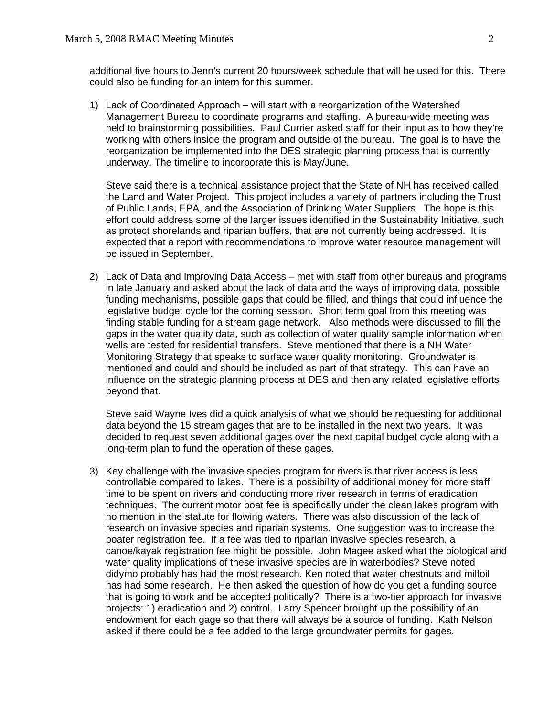additional five hours to Jenn's current 20 hours/week schedule that will be used for this. There could also be funding for an intern for this summer.

1) Lack of Coordinated Approach – will start with a reorganization of the Watershed Management Bureau to coordinate programs and staffing. A bureau-wide meeting was held to brainstorming possibilities. Paul Currier asked staff for their input as to how they're working with others inside the program and outside of the bureau. The goal is to have the reorganization be implemented into the DES strategic planning process that is currently underway. The timeline to incorporate this is May/June.

 Steve said there is a technical assistance project that the State of NH has received called the Land and Water Project. This project includes a variety of partners including the Trust of Public Lands, EPA, and the Association of Drinking Water Suppliers. The hope is this effort could address some of the larger issues identified in the Sustainability Initiative, such as protect shorelands and riparian buffers, that are not currently being addressed. It is expected that a report with recommendations to improve water resource management will be issued in September.

2) Lack of Data and Improving Data Access – met with staff from other bureaus and programs in late January and asked about the lack of data and the ways of improving data, possible funding mechanisms, possible gaps that could be filled, and things that could influence the legislative budget cycle for the coming session. Short term goal from this meeting was finding stable funding for a stream gage network. Also methods were discussed to fill the gaps in the water quality data, such as collection of water quality sample information when wells are tested for residential transfers. Steve mentioned that there is a NH Water Monitoring Strategy that speaks to surface water quality monitoring. Groundwater is mentioned and could and should be included as part of that strategy. This can have an influence on the strategic planning process at DES and then any related legislative efforts beyond that.

Steve said Wayne Ives did a quick analysis of what we should be requesting for additional data beyond the 15 stream gages that are to be installed in the next two years. It was decided to request seven additional gages over the next capital budget cycle along with a long-term plan to fund the operation of these gages.

3) Key challenge with the invasive species program for rivers is that river access is less controllable compared to lakes. There is a possibility of additional money for more staff time to be spent on rivers and conducting more river research in terms of eradication techniques. The current motor boat fee is specifically under the clean lakes program with no mention in the statute for flowing waters. There was also discussion of the lack of research on invasive species and riparian systems. One suggestion was to increase the boater registration fee. If a fee was tied to riparian invasive species research, a canoe/kayak registration fee might be possible. John Magee asked what the biological and water quality implications of these invasive species are in waterbodies? Steve noted didymo probably has had the most research. Ken noted that water chestnuts and milfoil has had some research. He then asked the question of how do you get a funding source that is going to work and be accepted politically? There is a two-tier approach for invasive projects: 1) eradication and 2) control. Larry Spencer brought up the possibility of an endowment for each gage so that there will always be a source of funding. Kath Nelson asked if there could be a fee added to the large groundwater permits for gages.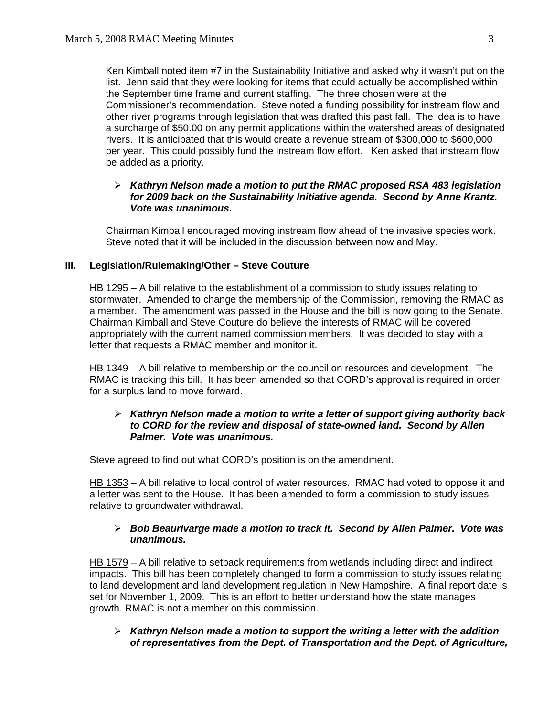Ken Kimball noted item #7 in the Sustainability Initiative and asked why it wasn't put on the list. Jenn said that they were looking for items that could actually be accomplished within the September time frame and current staffing. The three chosen were at the Commissioner's recommendation. Steve noted a funding possibility for instream flow and other river programs through legislation that was drafted this past fall. The idea is to have a surcharge of \$50.00 on any permit applications within the watershed areas of designated rivers. It is anticipated that this would create a revenue stream of \$300,000 to \$600,000 per year. This could possibly fund the instream flow effort. Ken asked that instream flow be added as a priority.

# ¾ *Kathryn Nelson made a motion to put the RMAC proposed RSA 483 legislation for 2009 back on the Sustainability Initiative agenda. Second by Anne Krantz. Vote was unanimous.*

 Chairman Kimball encouraged moving instream flow ahead of the invasive species work. Steve noted that it will be included in the discussion between now and May.

# **III. Legislation/Rulemaking/Other – Steve Couture**

HB 1295 – A bill relative to the establishment of a commission to study issues relating to stormwater. Amended to change the membership of the Commission, removing the RMAC as a member. The amendment was passed in the House and the bill is now going to the Senate. Chairman Kimball and Steve Couture do believe the interests of RMAC will be covered appropriately with the current named commission members. It was decided to stay with a letter that requests a RMAC member and monitor it.

HB 1349 – A bill relative to membership on the council on resources and development. The RMAC is tracking this bill. It has been amended so that CORD's approval is required in order for a surplus land to move forward.

## ¾ *Kathryn Nelson made a motion to write a letter of support giving authority back to CORD for the review and disposal of state-owned land. Second by Allen Palmer. Vote was unanimous.*

Steve agreed to find out what CORD's position is on the amendment.

HB 1353 – A bill relative to local control of water resources. RMAC had voted to oppose it and a letter was sent to the House. It has been amended to form a commission to study issues relative to groundwater withdrawal.

# ¾ *Bob Beaurivarge made a motion to track it. Second by Allen Palmer. Vote was unanimous.*

HB 1579 – A bill relative to setback requirements from wetlands including direct and indirect impacts. This bill has been completely changed to form a commission to study issues relating to land development and land development regulation in New Hampshire. A final report date is set for November 1, 2009. This is an effort to better understand how the state manages growth. RMAC is not a member on this commission.

# ¾ *Kathryn Nelson made a motion to support the writing a letter with the addition of representatives from the Dept. of Transportation and the Dept. of Agriculture,*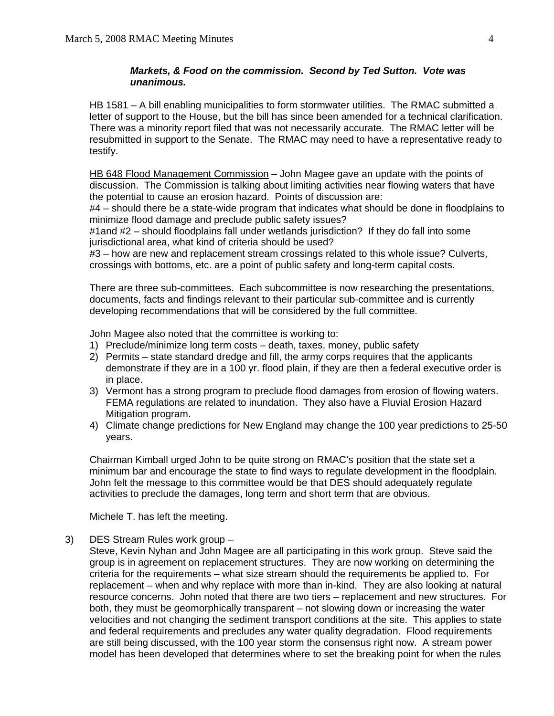# *Markets, & Food on the commission. Second by Ted Sutton. Vote was unanimous.*

HB 1581 – A bill enabling municipalities to form stormwater utilities. The RMAC submitted a letter of support to the House, but the bill has since been amended for a technical clarification. There was a minority report filed that was not necessarily accurate. The RMAC letter will be resubmitted in support to the Senate. The RMAC may need to have a representative ready to testify.

HB 648 Flood Management Commission – John Magee gave an update with the points of discussion. The Commission is talking about limiting activities near flowing waters that have the potential to cause an erosion hazard. Points of discussion are:

 #4 – should there be a state-wide program that indicates what should be done in floodplains to minimize flood damage and preclude public safety issues?

 #1and #2 – should floodplains fall under wetlands jurisdiction? If they do fall into some jurisdictional area, what kind of criteria should be used?

 #3 – how are new and replacement stream crossings related to this whole issue? Culverts, crossings with bottoms, etc. are a point of public safety and long-term capital costs.

 There are three sub-committees. Each subcommittee is now researching the presentations, documents, facts and findings relevant to their particular sub-committee and is currently developing recommendations that will be considered by the full committee.

John Magee also noted that the committee is working to:

- 1) Preclude/minimize long term costs death, taxes, money, public safety
- 2) Permits state standard dredge and fill, the army corps requires that the applicants demonstrate if they are in a 100 yr. flood plain, if they are then a federal executive order is in place.
- 3) Vermont has a strong program to preclude flood damages from erosion of flowing waters. FEMA regulations are related to inundation. They also have a Fluvial Erosion Hazard Mitigation program.
- 4) Climate change predictions for New England may change the 100 year predictions to 25-50 years.

 Chairman Kimball urged John to be quite strong on RMAC's position that the state set a minimum bar and encourage the state to find ways to regulate development in the floodplain. John felt the message to this committee would be that DES should adequately regulate activities to preclude the damages, long term and short term that are obvious.

Michele T. has left the meeting.

### 3) DES Stream Rules work group –

Steve, Kevin Nyhan and John Magee are all participating in this work group. Steve said the group is in agreement on replacement structures. They are now working on determining the criteria for the requirements – what size stream should the requirements be applied to. For replacement – when and why replace with more than in-kind. They are also looking at natural resource concerns. John noted that there are two tiers – replacement and new structures. For both, they must be geomorphically transparent – not slowing down or increasing the water velocities and not changing the sediment transport conditions at the site. This applies to state and federal requirements and precludes any water quality degradation. Flood requirements are still being discussed, with the 100 year storm the consensus right now. A stream power model has been developed that determines where to set the breaking point for when the rules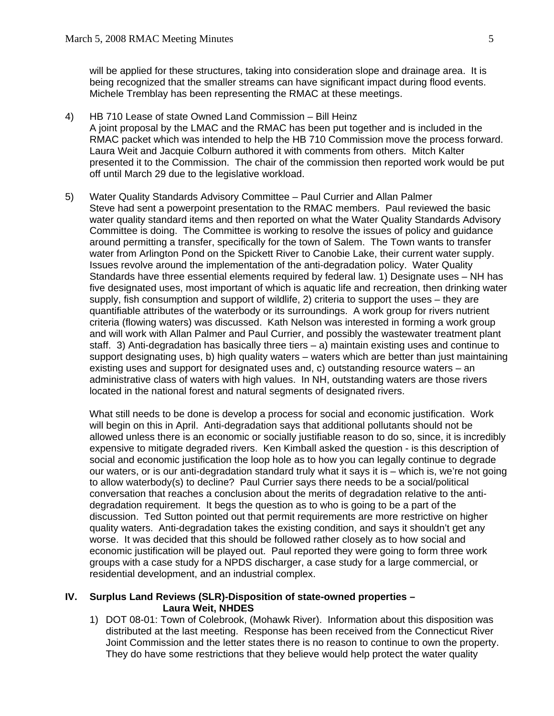will be applied for these structures, taking into consideration slope and drainage area. It is being recognized that the smaller streams can have significant impact during flood events. Michele Tremblay has been representing the RMAC at these meetings.

- 4) HB 710 Lease of state Owned Land Commission Bill Heinz A joint proposal by the LMAC and the RMAC has been put together and is included in the RMAC packet which was intended to help the HB 710 Commission move the process forward. Laura Weit and Jacquie Colburn authored it with comments from others. Mitch Kalter presented it to the Commission. The chair of the commission then reported work would be put off until March 29 due to the legislative workload.
- 5) Water Quality Standards Advisory Committee Paul Currier and Allan Palmer Steve had sent a powerpoint presentation to the RMAC members. Paul reviewed the basic water quality standard items and then reported on what the Water Quality Standards Advisory Committee is doing. The Committee is working to resolve the issues of policy and guidance around permitting a transfer, specifically for the town of Salem. The Town wants to transfer water from Arlington Pond on the Spickett River to Canobie Lake, their current water supply. Issues revolve around the implementation of the anti-degradation policy. Water Quality Standards have three essential elements required by federal law. 1) Designate uses – NH has five designated uses, most important of which is aquatic life and recreation, then drinking water supply, fish consumption and support of wildlife, 2) criteria to support the uses – they are quantifiable attributes of the waterbody or its surroundings. A work group for rivers nutrient criteria (flowing waters) was discussed. Kath Nelson was interested in forming a work group and will work with Allan Palmer and Paul Currier, and possibly the wastewater treatment plant staff. 3) Anti-degradation has basically three tiers – a) maintain existing uses and continue to support designating uses, b) high quality waters – waters which are better than just maintaining existing uses and support for designated uses and, c) outstanding resource waters – an administrative class of waters with high values. In NH, outstanding waters are those rivers located in the national forest and natural segments of designated rivers.

 What still needs to be done is develop a process for social and economic justification. Work will begin on this in April. Anti-degradation says that additional pollutants should not be allowed unless there is an economic or socially justifiable reason to do so, since, it is incredibly expensive to mitigate degraded rivers. Ken Kimball asked the question - is this description of social and economic justification the loop hole as to how you can legally continue to degrade our waters, or is our anti-degradation standard truly what it says it is – which is, we're not going to allow waterbody(s) to decline? Paul Currier says there needs to be a social/political conversation that reaches a conclusion about the merits of degradation relative to the antidegradation requirement. It begs the question as to who is going to be a part of the discussion. Ted Sutton pointed out that permit requirements are more restrictive on higher quality waters. Anti-degradation takes the existing condition, and says it shouldn't get any worse. It was decided that this should be followed rather closely as to how social and economic justification will be played out. Paul reported they were going to form three work groups with a case study for a NPDS discharger, a case study for a large commercial, or residential development, and an industrial complex.

### **IV. Surplus Land Reviews (SLR)-Disposition of state-owned properties – Laura Weit, NHDES**

1) DOT 08-01: Town of Colebrook, (Mohawk River). Information about this disposition was distributed at the last meeting. Response has been received from the Connecticut River Joint Commission and the letter states there is no reason to continue to own the property. They do have some restrictions that they believe would help protect the water quality